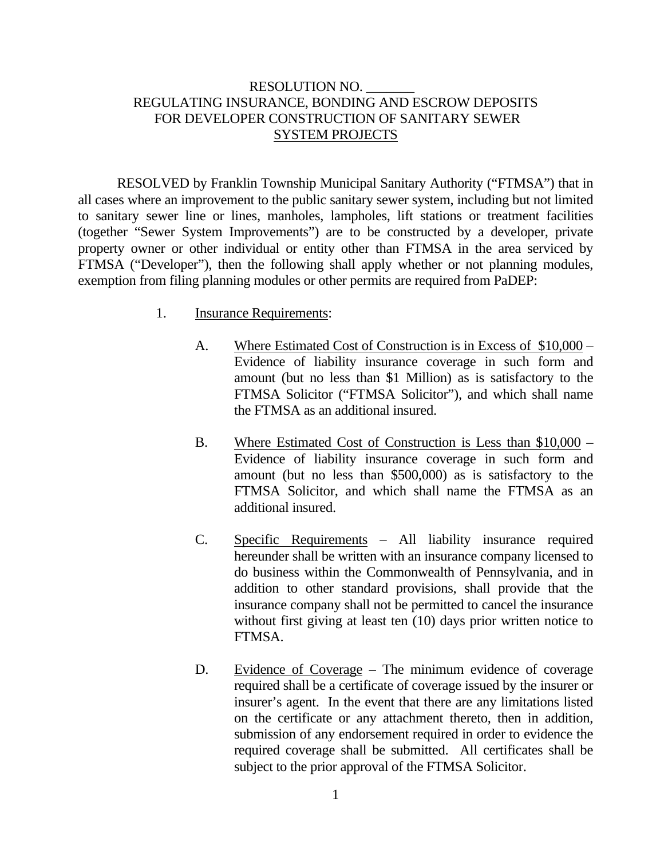## RESOLUTION NO. \_\_\_\_\_\_\_ REGULATING INSURANCE, BONDING AND ESCROW DEPOSITS FOR DEVELOPER CONSTRUCTION OF SANITARY SEWER SYSTEM PROJECTS

 RESOLVED by Franklin Township Municipal Sanitary Authority ("FTMSA") that in all cases where an improvement to the public sanitary sewer system, including but not limited to sanitary sewer line or lines, manholes, lampholes, lift stations or treatment facilities (together "Sewer System Improvements") are to be constructed by a developer, private property owner or other individual or entity other than FTMSA in the area serviced by FTMSA ("Developer"), then the following shall apply whether or not planning modules, exemption from filing planning modules or other permits are required from PaDEP:

- 1. Insurance Requirements:
	- A. Where Estimated Cost of Construction is in Excess of \$10,000 Evidence of liability insurance coverage in such form and amount (but no less than \$1 Million) as is satisfactory to the FTMSA Solicitor ("FTMSA Solicitor"), and which shall name the FTMSA as an additional insured.
	- B. Where Estimated Cost of Construction is Less than \$10,000 Evidence of liability insurance coverage in such form and amount (but no less than \$500,000) as is satisfactory to the FTMSA Solicitor, and which shall name the FTMSA as an additional insured.
	- C. Specific Requirements All liability insurance required hereunder shall be written with an insurance company licensed to do business within the Commonwealth of Pennsylvania, and in addition to other standard provisions, shall provide that the insurance company shall not be permitted to cancel the insurance without first giving at least ten (10) days prior written notice to FTMSA.
	- D. Evidence of Coverage The minimum evidence of coverage required shall be a certificate of coverage issued by the insurer or insurer's agent. In the event that there are any limitations listed on the certificate or any attachment thereto, then in addition, submission of any endorsement required in order to evidence the required coverage shall be submitted. All certificates shall be subject to the prior approval of the FTMSA Solicitor.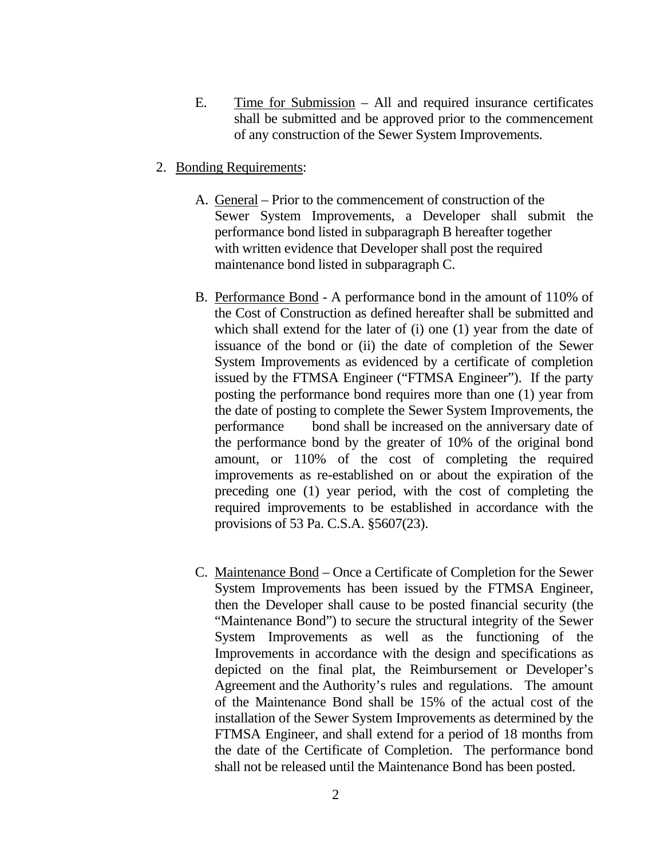- E. Time for Submission All and required insurance certificates shall be submitted and be approved prior to the commencement of any construction of the Sewer System Improvements.
- 2. Bonding Requirements:
	- A. General Prior to the commencement of construction of the Sewer System Improvements, a Developer shall submit the performance bond listed in subparagraph B hereafter together with written evidence that Developer shall post the required maintenance bond listed in subparagraph C.
	- B. Performance Bond A performance bond in the amount of 110% of the Cost of Construction as defined hereafter shall be submitted and which shall extend for the later of (i) one (1) year from the date of issuance of the bond or (ii) the date of completion of the Sewer System Improvements as evidenced by a certificate of completion issued by the FTMSA Engineer ("FTMSA Engineer"). If the party posting the performance bond requires more than one (1) year from the date of posting to complete the Sewer System Improvements, the performance bond shall be increased on the anniversary date of the performance bond by the greater of 10% of the original bond amount, or 110% of the cost of completing the required improvements as re-established on or about the expiration of the preceding one (1) year period, with the cost of completing the required improvements to be established in accordance with the provisions of 53 Pa. C.S.A. §5607(23).
	- C. Maintenance Bond Once a Certificate of Completion for the Sewer System Improvements has been issued by the FTMSA Engineer, then the Developer shall cause to be posted financial security (the "Maintenance Bond") to secure the structural integrity of the Sewer System Improvements as well as the functioning of the Improvements in accordance with the design and specifications as depicted on the final plat, the Reimbursement or Developer's Agreement and the Authority's rules and regulations. The amount of the Maintenance Bond shall be 15% of the actual cost of the installation of the Sewer System Improvements as determined by the FTMSA Engineer, and shall extend for a period of 18 months from the date of the Certificate of Completion. The performance bond shall not be released until the Maintenance Bond has been posted.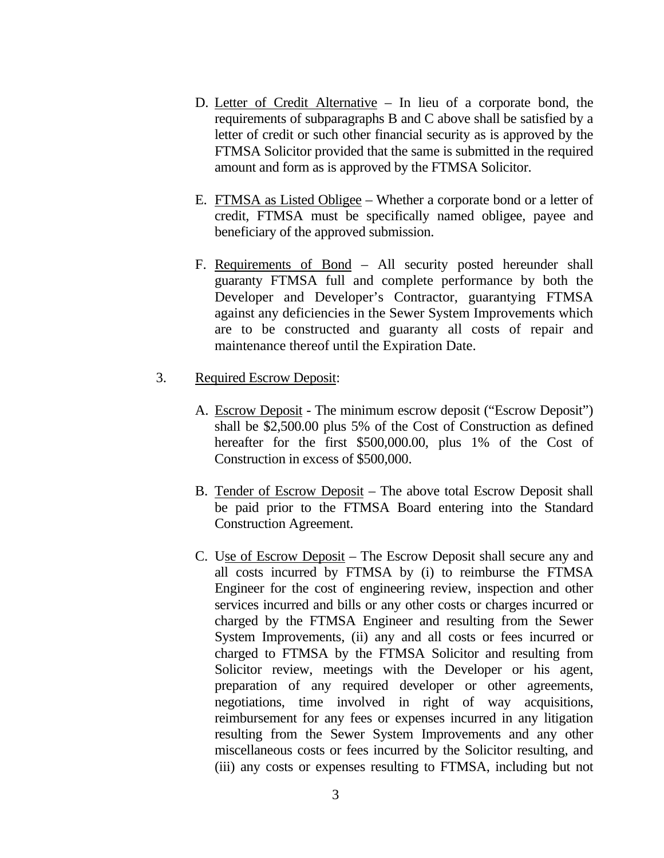- D. Letter of Credit Alternative In lieu of a corporate bond, the requirements of subparagraphs B and C above shall be satisfied by a letter of credit or such other financial security as is approved by the FTMSA Solicitor provided that the same is submitted in the required amount and form as is approved by the FTMSA Solicitor.
- E. FTMSA as Listed Obligee Whether a corporate bond or a letter of credit, FTMSA must be specifically named obligee, payee and beneficiary of the approved submission.
- F. Requirements of Bond All security posted hereunder shall guaranty FTMSA full and complete performance by both the Developer and Developer's Contractor, guarantying FTMSA against any deficiencies in the Sewer System Improvements which are to be constructed and guaranty all costs of repair and maintenance thereof until the Expiration Date.
- 3. Required Escrow Deposit:
	- A. Escrow Deposit The minimum escrow deposit ("Escrow Deposit") shall be \$2,500.00 plus 5% of the Cost of Construction as defined hereafter for the first \$500,000.00, plus 1% of the Cost of Construction in excess of \$500,000.
	- B. Tender of Escrow Deposit The above total Escrow Deposit shall be paid prior to the FTMSA Board entering into the Standard Construction Agreement.
	- C. Use of Escrow Deposit The Escrow Deposit shall secure any and all costs incurred by FTMSA by (i) to reimburse the FTMSA Engineer for the cost of engineering review, inspection and other services incurred and bills or any other costs or charges incurred or charged by the FTMSA Engineer and resulting from the Sewer System Improvements, (ii) any and all costs or fees incurred or charged to FTMSA by the FTMSA Solicitor and resulting from Solicitor review, meetings with the Developer or his agent, preparation of any required developer or other agreements, negotiations, time involved in right of way acquisitions, reimbursement for any fees or expenses incurred in any litigation resulting from the Sewer System Improvements and any other miscellaneous costs or fees incurred by the Solicitor resulting, and (iii) any costs or expenses resulting to FTMSA, including but not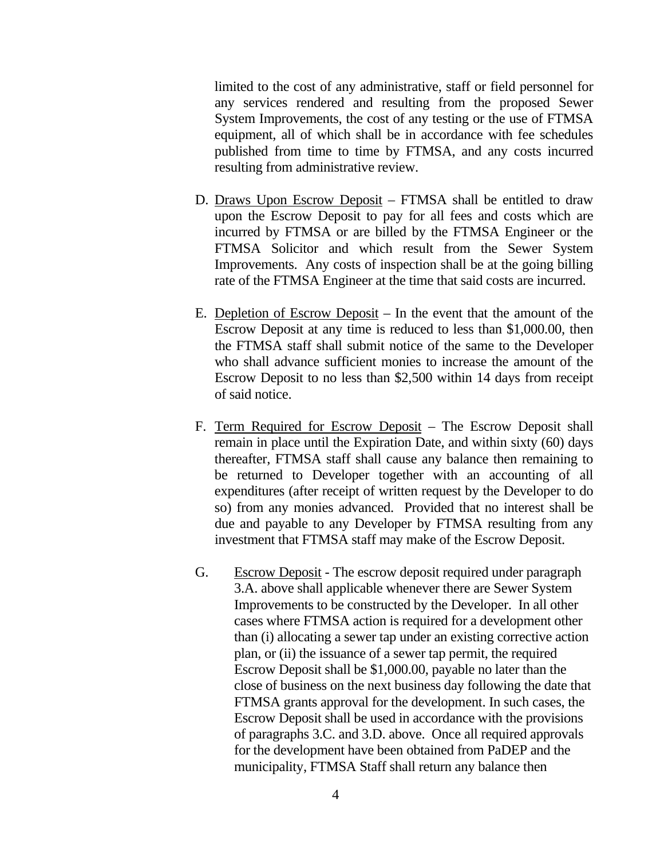limited to the cost of any administrative, staff or field personnel for any services rendered and resulting from the proposed Sewer System Improvements, the cost of any testing or the use of FTMSA equipment, all of which shall be in accordance with fee schedules published from time to time by FTMSA, and any costs incurred resulting from administrative review.

- D. Draws Upon Escrow Deposit FTMSA shall be entitled to draw upon the Escrow Deposit to pay for all fees and costs which are incurred by FTMSA or are billed by the FTMSA Engineer or the FTMSA Solicitor and which result from the Sewer System Improvements. Any costs of inspection shall be at the going billing rate of the FTMSA Engineer at the time that said costs are incurred.
- E. Depletion of Escrow Deposit In the event that the amount of the Escrow Deposit at any time is reduced to less than \$1,000.00, then the FTMSA staff shall submit notice of the same to the Developer who shall advance sufficient monies to increase the amount of the Escrow Deposit to no less than \$2,500 within 14 days from receipt of said notice.
- F. Term Required for Escrow Deposit The Escrow Deposit shall remain in place until the Expiration Date, and within sixty (60) days thereafter, FTMSA staff shall cause any balance then remaining to be returned to Developer together with an accounting of all expenditures (after receipt of written request by the Developer to do so) from any monies advanced. Provided that no interest shall be due and payable to any Developer by FTMSA resulting from any investment that FTMSA staff may make of the Escrow Deposit.
- G. Escrow Deposit The escrow deposit required under paragraph 3.A. above shall applicable whenever there are Sewer System Improvements to be constructed by the Developer. In all other cases where FTMSA action is required for a development other than (i) allocating a sewer tap under an existing corrective action plan, or (ii) the issuance of a sewer tap permit, the required Escrow Deposit shall be \$1,000.00, payable no later than the close of business on the next business day following the date that FTMSA grants approval for the development. In such cases, the Escrow Deposit shall be used in accordance with the provisions of paragraphs 3.C. and 3.D. above. Once all required approvals for the development have been obtained from PaDEP and the municipality, FTMSA Staff shall return any balance then